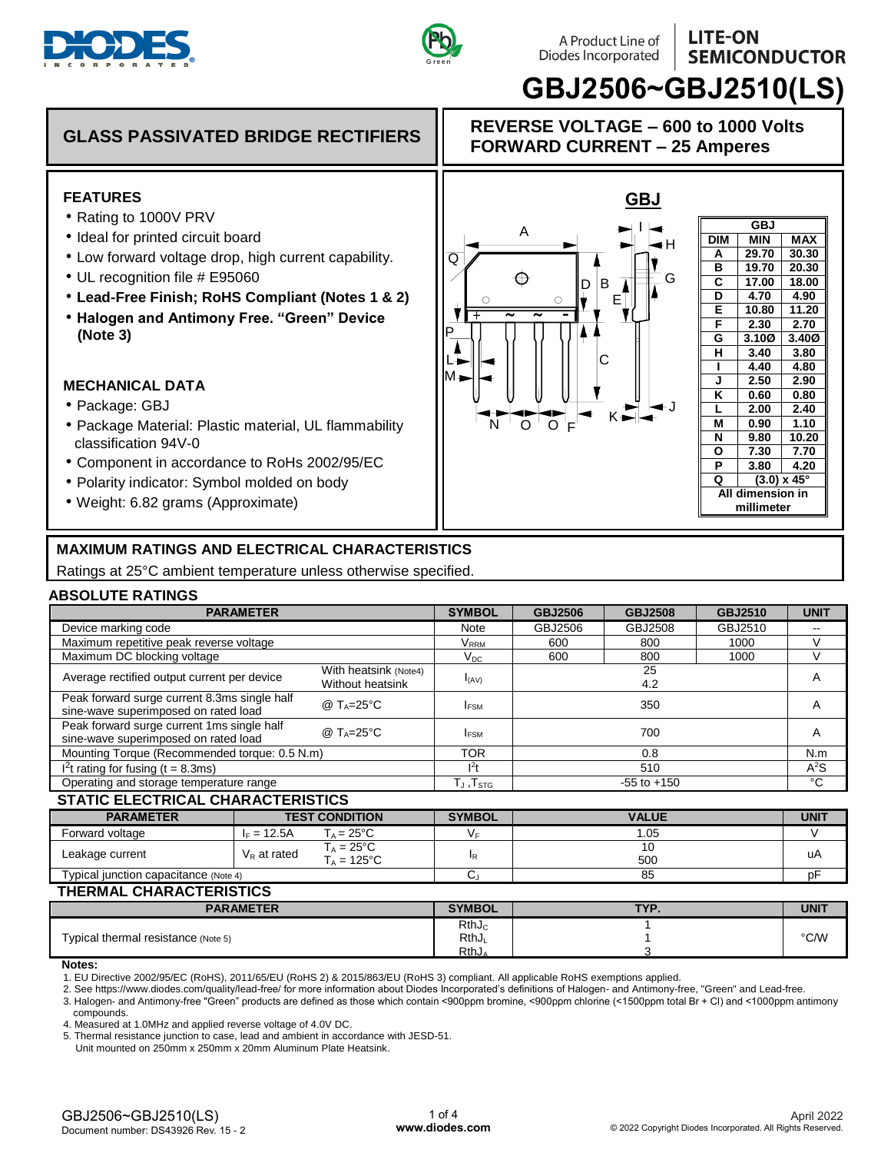



M

L

P

 $\overline{\mathtt{Q}}$ 

+ <sup>~</sup> <sup>~</sup> -

О

N 'O'O'F

A

#### **LITE-ON** A Product Line of Diodes Incorporated **SEMICONDUCTOR**

**GBJ**<br>MIN **DIM MIN MAX A 29.70 30.30 B 19.70 20.30 C 17.00 18.00 D 4.70 4.90 E 10.80 11.20 F 2.30 2.70 G 3.10Ø 3.40Ø H 3.40 3.80 I 4.40 4.80 J 2.50 2.90 K 0.60 0.80 L 2.00 2.40 M 0.90 1.10 N 9.80 10.20 O 7.30 7.70 P 3.80 4.20 Q (3.0) x 45° All dimension in millimeter**

**REVERSE VOLTAGE – 600 to 1000 Volts FORWARD CURRENT – 25 Amperes**

**GBJ**

E

B

 $\Gamma$ 

D

 $\circ$ 

K

H

**GBJ2506~GBJ2510(LS)**

G

J

## **GLASS PASSIVATED BRIDGE RECTIFIERS**

## **FEATURES**

- Rating to 1000V PRV
- Ideal for printed circuit board
- Low forward voltage drop, high current capability.
- UL recognition file # E95060
- **Lead-Free Finish; RoHS Compliant (Notes 1 & 2)**
- **Halogen and Antimony Free. "Green" Device (Note 3)**

### **MECHANICAL DATA**

- Package: GBJ
- Package Material: Plastic material, UL flammability classification 94V-0
- Component in accordance to RoHs 2002/95/EC
- Polarity indicator: Symbol molded on body
- Weight: 6.82 grams (Approximate)

# **MAXIMUM RATINGS AND ELECTRICAL CHARACTERISTICS**

Ratings at 25°C ambient temperature unless otherwise specified.

### **ABSOLUTE RATINGS**

|                                                                                                       | <b>PARAMETER</b>                                        |                                           | <b>SYMBOL</b>                                  | <b>GBJ2506</b>                | <b>GBJ2508</b> | <b>GBJ2510</b> | <b>UNIT</b> |  |
|-------------------------------------------------------------------------------------------------------|---------------------------------------------------------|-------------------------------------------|------------------------------------------------|-------------------------------|----------------|----------------|-------------|--|
| Device marking code                                                                                   |                                                         |                                           | Note                                           | GBJ2510<br>GBJ2506<br>GBJ2508 |                |                | --          |  |
| Maximum repetitive peak reverse voltage                                                               |                                                         |                                           | $\mathsf{V}_\mathsf{RRM}$                      | 600                           | 800            | 1000           | $\vee$      |  |
| Maximum DC blocking voltage                                                                           |                                                         |                                           | $V_{DC}$                                       | 600                           | 800            | 1000           | $\vee$      |  |
| Average rectified output current per device                                                           |                                                         | With heatsink (Note4)<br>Without heatsink | $I_{(AV)}$                                     | 25<br>4.2                     |                |                | A           |  |
| Peak forward surge current 8.3ms single half<br>sine-wave superimposed on rated load                  | @ $T_A = 25^{\circ}C$                                   | <b>IFSM</b>                               |                                                |                               | A              |                |             |  |
| Peak forward surge current 1ms single half<br>@ $T_A = 25$ °C<br>sine-wave superimposed on rated load |                                                         |                                           | <b>IFSM</b>                                    |                               | A              |                |             |  |
| Mounting Torque (Recommended torque: 0.5 N.m)                                                         | <b>TOR</b>                                              |                                           | N.m                                            |                               |                |                |             |  |
| $12t$ rating for fusing (t = 8.3ms)                                                                   | 1 <sup>2</sup>                                          |                                           | $A^2S$                                         |                               |                |                |             |  |
| Operating and storage temperature range                                                               |                                                         |                                           | $T_J$ , $T_{STG}$                              |                               | °C             |                |             |  |
| <b>STATIC ELECTRICAL CHARACTERISTICS</b>                                                              |                                                         |                                           |                                                |                               |                |                |             |  |
| <b>PARAMETER</b>                                                                                      | <b>TEST CONDITION</b>                                   |                                           | <b>SYMBOL</b>                                  | <b>VALUE</b>                  |                |                | <b>UNIT</b> |  |
| Forward voltage                                                                                       | $I_F = 12.5A$                                           | $T_A = 25^{\circ}C$                       | VF.                                            |                               | 1.05           |                | V           |  |
| Leakage current                                                                                       | $T_A = 25^{\circ}C$<br>$V_R$ at rated<br>$T_A = 125$ °C |                                           | ΙR                                             |                               | uA             |                |             |  |
| Typical junction capacitance (Note 4)                                                                 |                                                         |                                           | $C_{J}$                                        |                               | pF             |                |             |  |
| <b>THERMAL CHARACTERISTICS</b>                                                                        |                                                         |                                           |                                                |                               |                |                |             |  |
|                                                                                                       | <b>PARAMETER</b>                                        |                                           | <b>SYMBOL</b>                                  | TYP.                          |                |                | <b>UNIT</b> |  |
| Typical thermal resistance (Note 5)                                                                   |                                                         |                                           | RthJ <sub>c</sub><br>RthJ<br>RthJ <sub>A</sub> |                               |                | °C/W           |             |  |

#### **Notes:**

1. EU Directive 2002/95/EC (RoHS), 2011/65/EU (RoHS 2) & 2015/863/EU (RoHS 3) compliant. All applicable RoHS exemptions applied.

2. See https://www.diodes.com/quality/lead-free/ for more information about Diodes Incorporated's definitions of Halogen- and Antimony-free, "Green" and Lead-free.

3. Halogen- and Antimony-free "Green" products are defined as those which contain <900ppm bromine, <900ppm chlorine (<1500ppm total Br + Cl) and <1000ppm antimony compounds.

4. Measured at 1.0MHz and applied reverse voltage of 4.0V DC.

5. Thermal resistance junction to case, lead and ambient in accordance with JESD-51.

Unit mounted on 250mm x 250mm x 20mm Aluminum Plate Heatsink.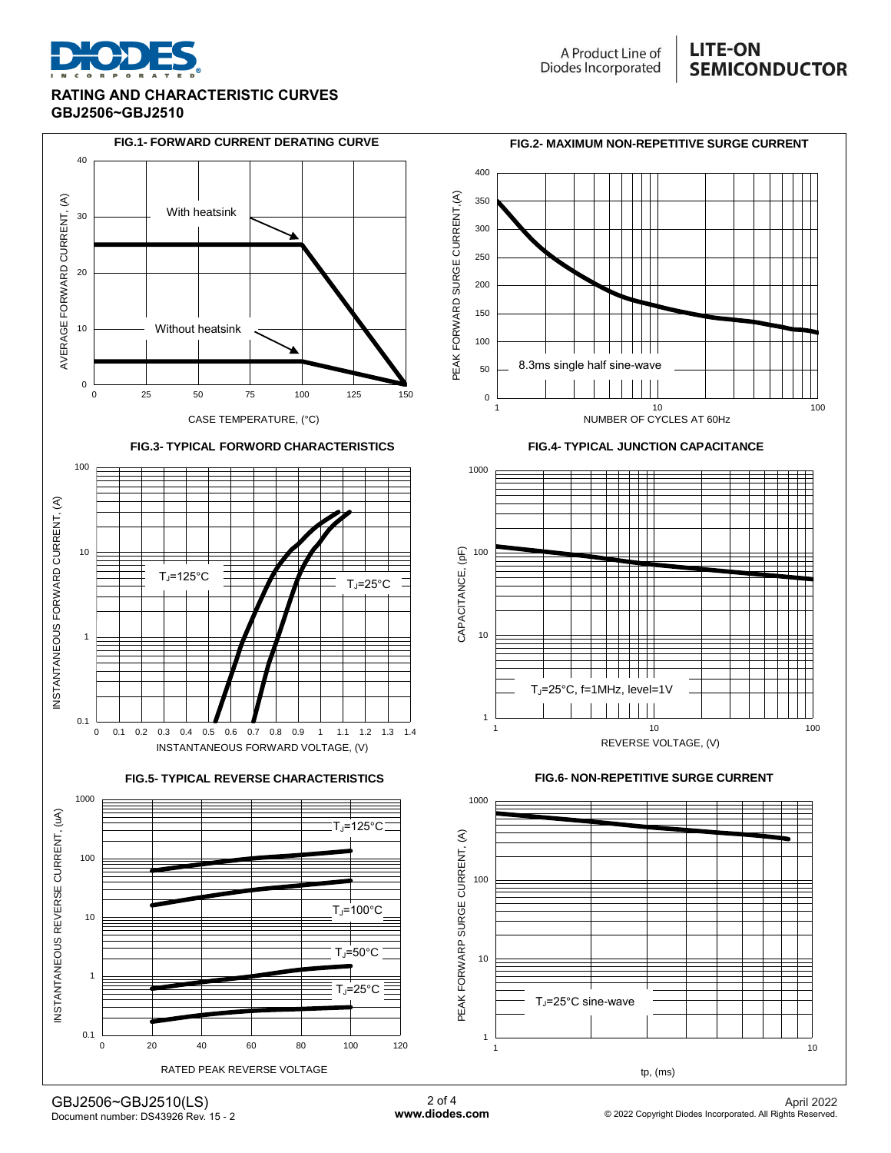

#### **RATING AND CHARACTERISTIC CURVES GBJ2506~GBJ2510**

## **LITE-ON SEMICONDUCTOR**



GBJ2506~GBJ2510(LS) Document number: DS43926 Rev. 15 - 2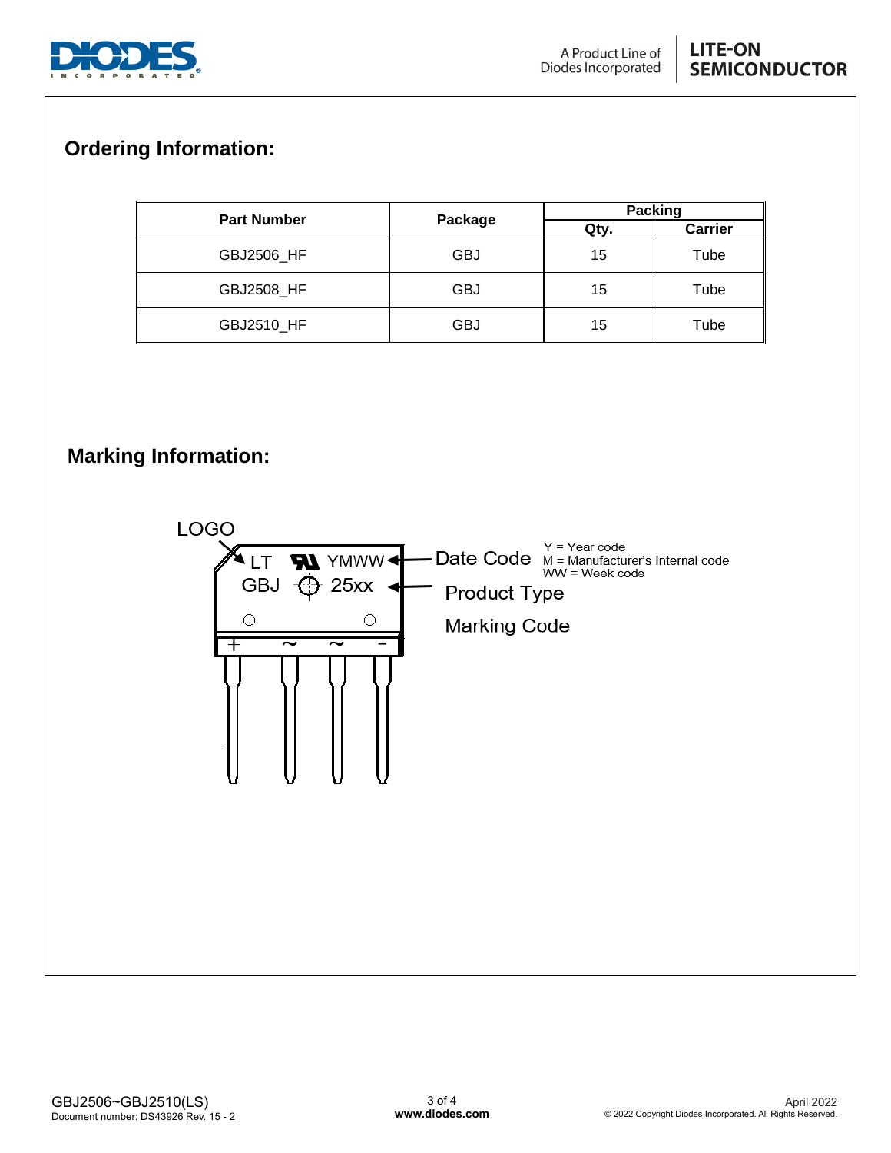

## **LITE-ON SEMICONDUCTOR**

# **Ordering Information:**

| <b>Part Number</b> |            | <b>Packing</b> |                |  |  |
|--------------------|------------|----------------|----------------|--|--|
|                    | Package    | Qty.           | <b>Carrier</b> |  |  |
| GBJ2506 HF         | <b>GBJ</b> | 15             | Tube           |  |  |
| GBJ2508_HF         | <b>GBJ</b> | 15             | Tube           |  |  |
| GBJ2510_HF         | <b>GBJ</b> | 15             | Tube           |  |  |

# **Marking Information:**